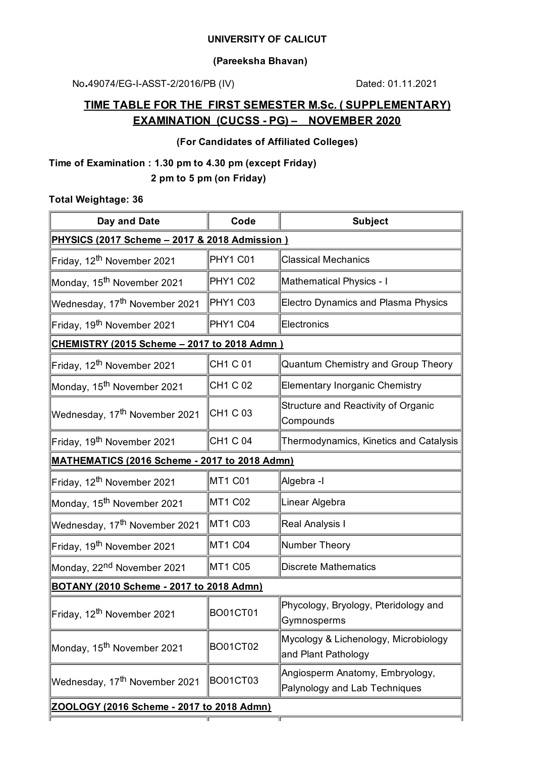#### **UNIVERSITY OF CALICUT**

#### **(Pareeksha Bhavan)**

No.49074/EG-I-ASST-2/2016/PB (IV) Dated: 01.11.2021

# **TIME TABLE FOR THE FIRST SEMESTER M.Sc. ( SUPPLEMENTARY) EXAMINATION (CUCSS - PG) – NOVEMBER 2020**

### **(For Candidates of Affiliated Colleges)**

## **Time of Examination : 1.30 pm to 4.30 pm (except Friday) 2 pm to 5 pm (on Friday)**

#### **Total Weightage: 36**

| Code                                                 | <b>Subject</b>                                                   |  |  |  |  |
|------------------------------------------------------|------------------------------------------------------------------|--|--|--|--|
| PHYSICS (2017 Scheme - 2017 & 2018 Admission )       |                                                                  |  |  |  |  |
| PHY1 C01                                             | <b>Classical Mechanics</b>                                       |  |  |  |  |
| <b>PHY1 C02</b>                                      | Mathematical Physics - I                                         |  |  |  |  |
| PHY1 C03                                             | Electro Dynamics and Plasma Physics                              |  |  |  |  |
| PHY1 C04                                             | Electronics                                                      |  |  |  |  |
| <b>CHEMISTRY (2015 Scheme - 2017 to 2018 Admn)</b>   |                                                                  |  |  |  |  |
| CH1 C 01                                             | Quantum Chemistry and Group Theory                               |  |  |  |  |
| CH1 C 02                                             | <b>Elementary Inorganic Chemistry</b>                            |  |  |  |  |
| CH1 C 03                                             | Structure and Reactivity of Organic<br>Compounds                 |  |  |  |  |
| CH1 C 04                                             | Thermodynamics, Kinetics and Catalysis                           |  |  |  |  |
| <b>MATHEMATICS (2016 Scheme - 2017 to 2018 Admn)</b> |                                                                  |  |  |  |  |
| MT1 C01                                              | Algebra -I                                                       |  |  |  |  |
| MT1 C02                                              | Linear Algebra                                                   |  |  |  |  |
| MT1 C03                                              | Real Analysis I                                                  |  |  |  |  |
| MT1 C04                                              | Number Theory                                                    |  |  |  |  |
| MT1 C05                                              | <b>Discrete Mathematics</b>                                      |  |  |  |  |
| BOTANY (2010 Scheme - 2017 to 2018 Admn)             |                                                                  |  |  |  |  |
| <b>BO01CT01</b>                                      | Phycology, Bryology, Pteridology and<br>Gymnosperms              |  |  |  |  |
| BO01CT02                                             | Mycology & Lichenology, Microbiology<br>and Plant Pathology      |  |  |  |  |
| <b>BO01CT03</b>                                      | Angiosperm Anatomy, Embryology,<br>Palynology and Lab Techniques |  |  |  |  |
| ZOOLOGY (2016 Scheme - 2017 to 2018 Admn)            |                                                                  |  |  |  |  |
|                                                      |                                                                  |  |  |  |  |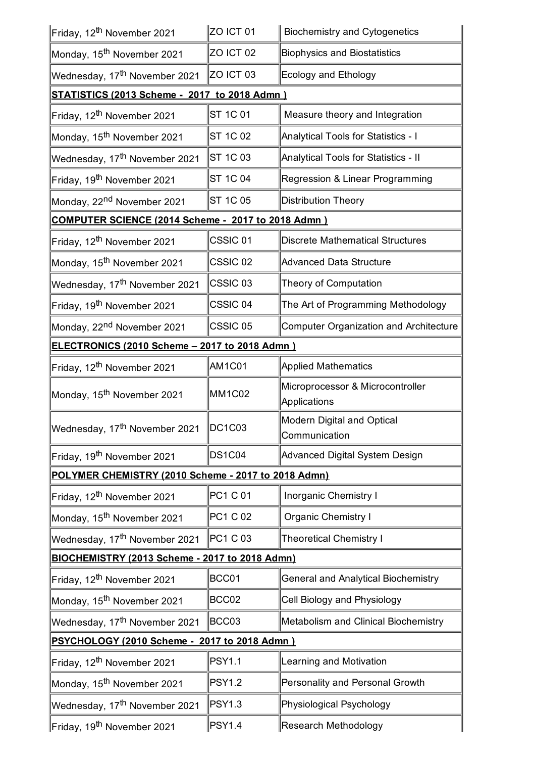| Friday, 12 <sup>th</sup> November 2021               | ZO ICT 01           | <b>Biochemistry and Cytogenetics</b>             |  |  |  |
|------------------------------------------------------|---------------------|--------------------------------------------------|--|--|--|
| ∥Monday, 15 <sup>th</sup> November 2021              | ZO ICT 02           | <b>Biophysics and Biostatistics</b>              |  |  |  |
| Wednesday, 17 <sup>th</sup> November 2021            | ZO ICT 03           | Ecology and Ethology                             |  |  |  |
| <b>STATISTICS (2013 Scheme - 2017 to 2018 Admn)</b>  |                     |                                                  |  |  |  |
| Friday, 12 <sup>th</sup> November 2021               | ST 1C 01            | Measure theory and Integration                   |  |  |  |
| Monday, 15 <sup>th</sup> November 2021               | ST 1C 02            | Analytical Tools for Statistics - I              |  |  |  |
| Wednesday, 17 <sup>th</sup> November 2021            | ST 1C 03            | Analytical Tools for Statistics - II             |  |  |  |
| Friday, 19 <sup>th</sup> November 2021               | ST 1C 04            | Regression & Linear Programming                  |  |  |  |
| Monday, 22 <sup>nd</sup> November 2021               | ST 1C 05            | <b>Distribution Theory</b>                       |  |  |  |
| COMPUTER SCIENCE (2014 Scheme - 2017 to 2018 Admn)   |                     |                                                  |  |  |  |
| Friday, 12 <sup>th</sup> November 2021               | CSSIC <sub>01</sub> | <b>Discrete Mathematical Structures</b>          |  |  |  |
| Monday, 15 <sup>th</sup> November 2021               | CSSIC <sub>02</sub> | <b>Advanced Data Structure</b>                   |  |  |  |
| Wednesday, 17 <sup>th</sup> November 2021            | CSSIC <sub>03</sub> | Theory of Computation                            |  |  |  |
| Friday, 19 <sup>th</sup> November 2021               | CSSIC <sub>04</sub> | The Art of Programming Methodology               |  |  |  |
| Monday, 22 <sup>nd</sup> November 2021               | CSSIC <sub>05</sub> | Computer Organization and Architecture           |  |  |  |
| <b>ELECTRONICS (2010 Scheme - 2017 to 2018 Admn)</b> |                     |                                                  |  |  |  |
| Friday, 12 <sup>th</sup> November 2021               | AM1C01              | <b>Applied Mathematics</b>                       |  |  |  |
| Monday, 15 <sup>th</sup> November 2021               | <b>MM1C02</b>       | Microprocessor & Microcontroller<br>Applications |  |  |  |
| Wednesday, 17 <sup>th</sup> November 2021            | $\ $ DC1C03         | Modern Digital and Optical<br>Communication      |  |  |  |
| Friday, 19 <sup>th</sup> November 2021               | <b>DS1C04</b>       | Advanced Digital System Design                   |  |  |  |
| POLYMER CHEMISTRY (2010 Scheme - 2017 to 2018 Admn)  |                     |                                                  |  |  |  |
| Friday, 12 <sup>th</sup> November 2021               | PC1 C 01            | <b>Inorganic Chemistry I</b>                     |  |  |  |
| Monday, 15 <sup>th</sup> November 2021               | PC1 C 02            | <b>Organic Chemistry I</b>                       |  |  |  |
| Wednesday, 17 <sup>th</sup> November 2021            | PC1 C 03            | <b>Theoretical Chemistry I</b>                   |  |  |  |
| BIOCHEMISTRY (2013 Scheme - 2017 to 2018 Admn)       |                     |                                                  |  |  |  |
| Friday, 12 <sup>th</sup> November 2021               | BCC01               | <b>General and Analytical Biochemistry</b>       |  |  |  |
| Monday, 15 <sup>th</sup> November 2021               | BCC02               | Cell Biology and Physiology                      |  |  |  |
| Wednesday, 17 <sup>th</sup> November 2021            | BCC03               | Metabolism and Clinical Biochemistry             |  |  |  |
| PSYCHOLOGY (2010 Scheme - 2017 to 2018 Admn)         |                     |                                                  |  |  |  |
| Friday, 12 <sup>th</sup> November 2021               | <b>PSY1.1</b>       | Learning and Motivation                          |  |  |  |
| Monday, 15 <sup>th</sup> November 2021               | <b>PSY1.2</b>       | Personality and Personal Growth                  |  |  |  |
| Wednesday, 17 <sup>th</sup> November 2021            | <b>PSY1.3</b>       | Physiological Psychology                         |  |  |  |
| Friday, 19 <sup>th</sup> November 2021               | PSY1.4              | Research Methodology                             |  |  |  |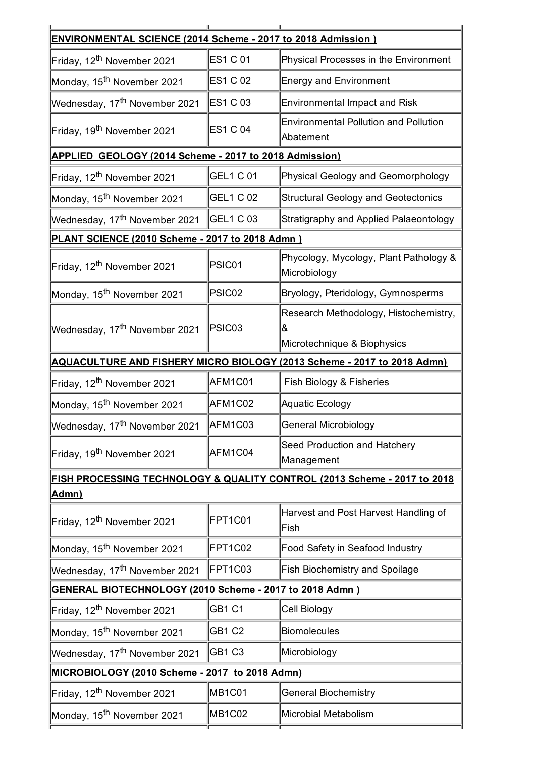| <b>ENVIRONMENTAL SCIENCE (2014 Scheme - 2017 to 2018 Admission )</b> |                  |                                                                            |  |  |
|----------------------------------------------------------------------|------------------|----------------------------------------------------------------------------|--|--|
| Friday, 12 <sup>th</sup> November 2021                               | ES1 C 01         | Physical Processes in the Environment                                      |  |  |
| Monday, 15 <sup>th</sup> November 2021                               | <b>ES1 C 02</b>  | <b>Energy and Environment</b>                                              |  |  |
| Wednesday, 17 <sup>th</sup> November 2021                            | ES1 C 03         | <b>Environmental Impact and Risk</b>                                       |  |  |
| Friday, 19 <sup>th</sup> November 2021                               | <b>ES1 C 04</b>  | <b>Environmental Pollution and Pollution</b><br>Abatement                  |  |  |
| <b>APPLIED GEOLOGY (2014 Scheme - 2017 to 2018 Admission)</b>        |                  |                                                                            |  |  |
| Friday, 12 <sup>th</sup> November 2021                               | <b>GEL1 C 01</b> | Physical Geology and Geomorphology                                         |  |  |
| Monday, 15 <sup>th</sup> November 2021                               | <b>GEL1 C 02</b> | <b>Structural Geology and Geotectonics</b>                                 |  |  |
| Wednesday, 17 <sup>th</sup> November 2021                            | <b>GEL1 C 03</b> | Stratigraphy and Applied Palaeontology                                     |  |  |
| PLANT SCIENCE (2010 Scheme - 2017 to 2018 Admn)                      |                  |                                                                            |  |  |
| Friday, 12 <sup>th</sup> November 2021                               | PSIC01           | Phycology, Mycology, Plant Pathology &<br>Microbiology                     |  |  |
| Monday, 15 <sup>th</sup> November 2021                               | PSIC02           | Bryology, Pteridology, Gymnosperms                                         |  |  |
| Wednesday, 17 <sup>th</sup> November 2021                            | PSIC03           | Research Methodology, Histochemistry,<br>ା&<br>Microtechnique & Biophysics |  |  |
|                                                                      |                  | AQUACULTURE AND FISHERY MICRO BIOLOGY (2013 Scheme - 2017 to 2018 Admn)    |  |  |
| Friday, 12 <sup>th</sup> November 2021                               | AFM1C01          | Fish Biology & Fisheries                                                   |  |  |
| Monday, 15 <sup>th</sup> November 2021                               | AFM1C02          | Aquatic Ecology                                                            |  |  |
| Wednesday, 17 <sup>th</sup> November 2021                            | AFM1C03          | General Microbiology                                                       |  |  |
| Friday, 19 <sup>th</sup> November 2021                               | AFM1C04          | Seed Production and Hatchery<br>Management                                 |  |  |
|                                                                      |                  | FISH PROCESSING TECHNOLOGY & QUALITY CONTROL (2013 Scheme - 2017 to 2018   |  |  |
| Admn)                                                                |                  |                                                                            |  |  |
| Friday, 12 <sup>th</sup> November 2021                               | FPT1C01          | Harvest and Post Harvest Handling of<br>Fish                               |  |  |
| Monday, 15 <sup>th</sup> November 2021                               | FPT1C02          | Food Safety in Seafood Industry                                            |  |  |
| Wednesday, 17 <sup>th</sup> November 2021                            | FPT1C03          | <b>Fish Biochemistry and Spoilage</b>                                      |  |  |
| GENERAL BIOTECHNOLOGY (2010 Scheme - 2017 to 2018 Admn)              |                  |                                                                            |  |  |
| Friday, 12 <sup>th</sup> November 2021                               | <b>GB1 C1</b>    | <b>Cell Biology</b>                                                        |  |  |
| Monday, 15 <sup>th</sup> November 2021                               | <b>GB1 C2</b>    | Biomolecules                                                               |  |  |
| Wednesday, 17 <sup>th</sup> November 2021                            | GB1 C3           | Microbiology                                                               |  |  |
| MICROBIOLOGY (2010 Scheme - 2017 to 2018 Admn)                       |                  |                                                                            |  |  |
| Friday, 12 <sup>th</sup> November 2021                               | <b>MB1C01</b>    | <b>General Biochemistry</b>                                                |  |  |
| Monday, 15 <sup>th</sup> November 2021                               | <b>MB1C02</b>    | Microbial Metabolism                                                       |  |  |
|                                                                      |                  |                                                                            |  |  |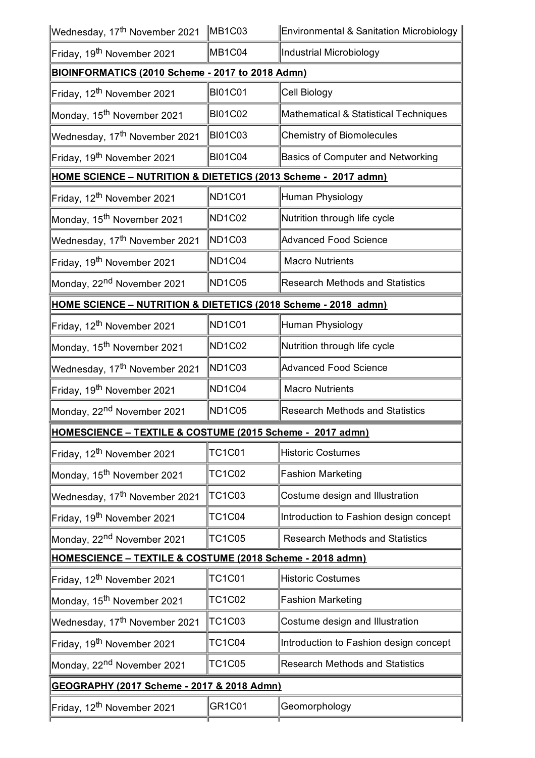| Wednesday, 17 <sup>th</sup> November 2021                      | MB1C03                          | <b>Environmental &amp; Sanitation Microbiology</b> |  |  |  |
|----------------------------------------------------------------|---------------------------------|----------------------------------------------------|--|--|--|
| Friday, 19 <sup>th</sup> November 2021                         | MB1C04                          | Industrial Microbiology                            |  |  |  |
| BIOINFORMATICS (2010 Scheme - 2017 to 2018 Admn)               |                                 |                                                    |  |  |  |
| Friday, 12 <sup>th</sup> November 2021                         | <b>BI01C01</b>                  | Cell Biology                                       |  |  |  |
| Monday, 15 <sup>th</sup> November 2021                         | <b>BI01C02</b>                  | Mathematical & Statistical Techniques              |  |  |  |
| Wednesday, 17 <sup>th</sup> November 2021                      | <b>BI01C03</b>                  | <b>Chemistry of Biomolecules</b>                   |  |  |  |
| Friday, 19 <sup>th</sup> November 2021                         | <b>BI01C04</b>                  | <b>Basics of Computer and Networking</b>           |  |  |  |
| HOME SCIENCE - NUTRITION & DIETETICS (2013 Scheme - 2017 admn) |                                 |                                                    |  |  |  |
| Friday, 12 <sup>th</sup> November 2021                         | ND <sub>1</sub> C01             | Human Physiology                                   |  |  |  |
| Monday, 15 <sup>th</sup> November 2021                         | <b>ND1C02</b>                   | Nutrition through life cycle                       |  |  |  |
| Wednesday, 17 <sup>th</sup> November 2021                      | ND <sub>1C03</sub>              | <b>Advanced Food Science</b>                       |  |  |  |
| Friday, 19 <sup>th</sup> November 2021                         | ND1C04                          | <b>Macro Nutrients</b>                             |  |  |  |
| Monday, 22 <sup>nd</sup> November 2021                         | ND1C05                          | <b>Research Methods and Statistics</b>             |  |  |  |
| HOME SCIENCE - NUTRITION & DIETETICS (2018 Scheme - 2018 admn) |                                 |                                                    |  |  |  |
| Friday, 12 <sup>th</sup> November 2021                         | ND <sub>1</sub> C01             | Human Physiology                                   |  |  |  |
| Monday, 15 <sup>th</sup> November 2021                         | ND <sub>1</sub> C <sub>02</sub> | Nutrition through life cycle                       |  |  |  |
| Wednesday, 17 <sup>th</sup> November 2021                      | ND1C03                          | Advanced Food Science                              |  |  |  |
| Friday, 19 <sup>th</sup> November 2021                         | ND <sub>1</sub> C <sub>04</sub> | <b>Macro Nutrients</b>                             |  |  |  |
| Monday, 22 <sup>nd</sup> November 2021                         | ND <sub>1</sub> C <sub>05</sub> | <b>Research Methods and Statistics</b>             |  |  |  |
| HOMESCIENCE - TEXTILE & COSTUME (2015 Scheme - 2017 admn)      |                                 |                                                    |  |  |  |
| Friday, 12 <sup>th</sup> November 2021                         | TC1C01                          | Historic Costumes                                  |  |  |  |
| Monday, 15 <sup>th</sup> November 2021                         | TC1C02                          | <b>Fashion Marketing</b>                           |  |  |  |
| Wednesday, 17 <sup>th</sup> November 2021                      | TC1C03                          | Costume design and Illustration                    |  |  |  |
| Friday, 19 <sup>th</sup> November 2021                         | <b>TC1C04</b>                   | Introduction to Fashion design concept             |  |  |  |
| Monday, 22 <sup>nd</sup> November 2021                         | TC1C05                          | <b>Research Methods and Statistics</b>             |  |  |  |
| HOMESCIENCE - TEXTILE & COSTUME (2018 Scheme - 2018 admn)      |                                 |                                                    |  |  |  |
| Friday, 12 <sup>th</sup> November 2021                         | TC1C01                          | <b>Historic Costumes</b>                           |  |  |  |
| Monday, 15 <sup>th</sup> November 2021                         | TC1C02                          | <b>Fashion Marketing</b>                           |  |  |  |
| Wednesday, 17 <sup>th</sup> November 2021                      | TC1C03                          | Costume design and Illustration                    |  |  |  |
| Friday, 19 <sup>th</sup> November 2021                         | <b>TC1C04</b>                   | Introduction to Fashion design concept             |  |  |  |
| Monday, 22 <sup>nd</sup> November 2021                         | <b>TC1C05</b>                   | <b>Research Methods and Statistics</b>             |  |  |  |
| GEOGRAPHY (2017 Scheme - 2017 & 2018 Admn)                     |                                 |                                                    |  |  |  |
| Friday, 12 <sup>th</sup> November 2021                         | GR <sub>1</sub> C <sub>01</sub> | Geomorphology                                      |  |  |  |
|                                                                |                                 |                                                    |  |  |  |